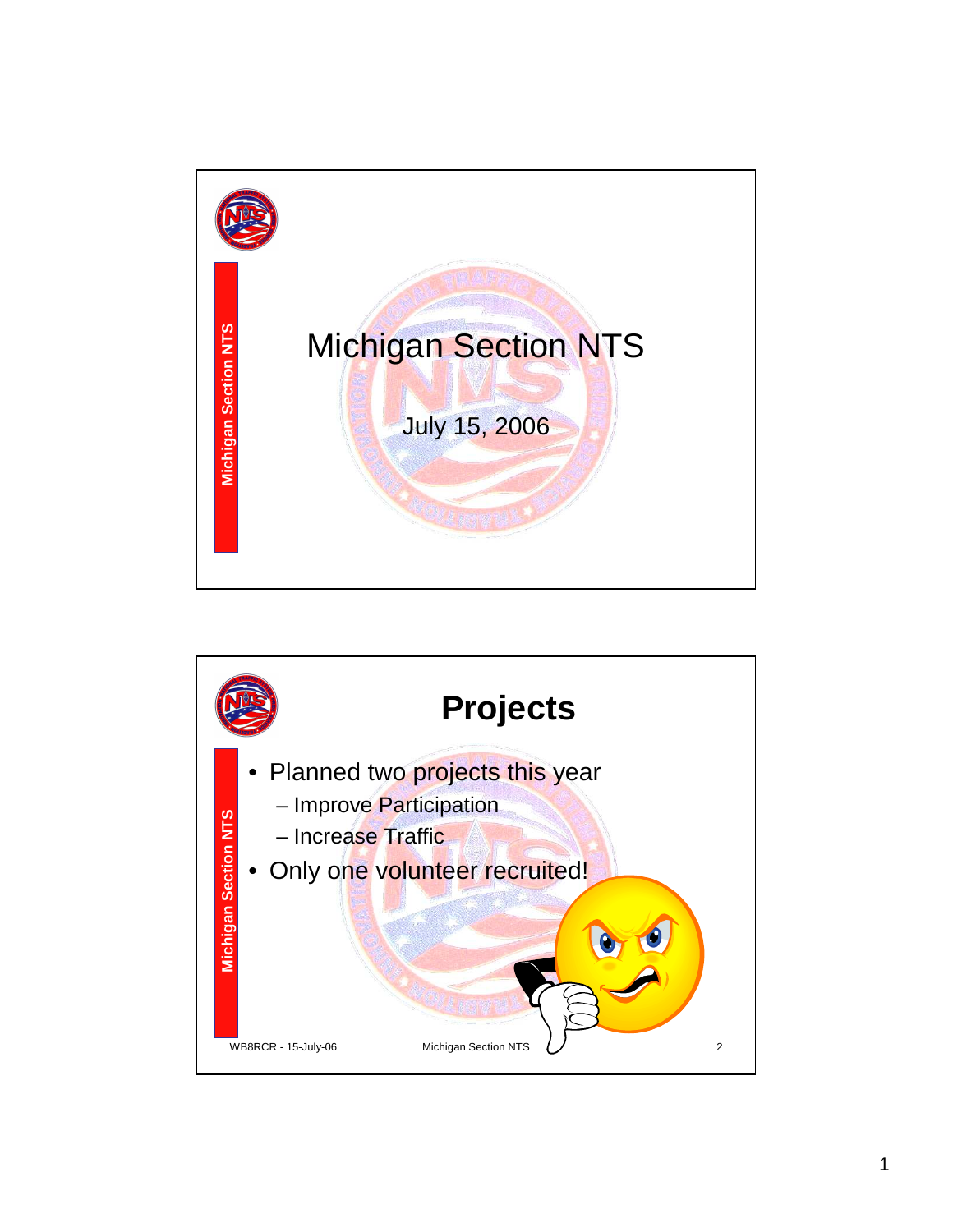

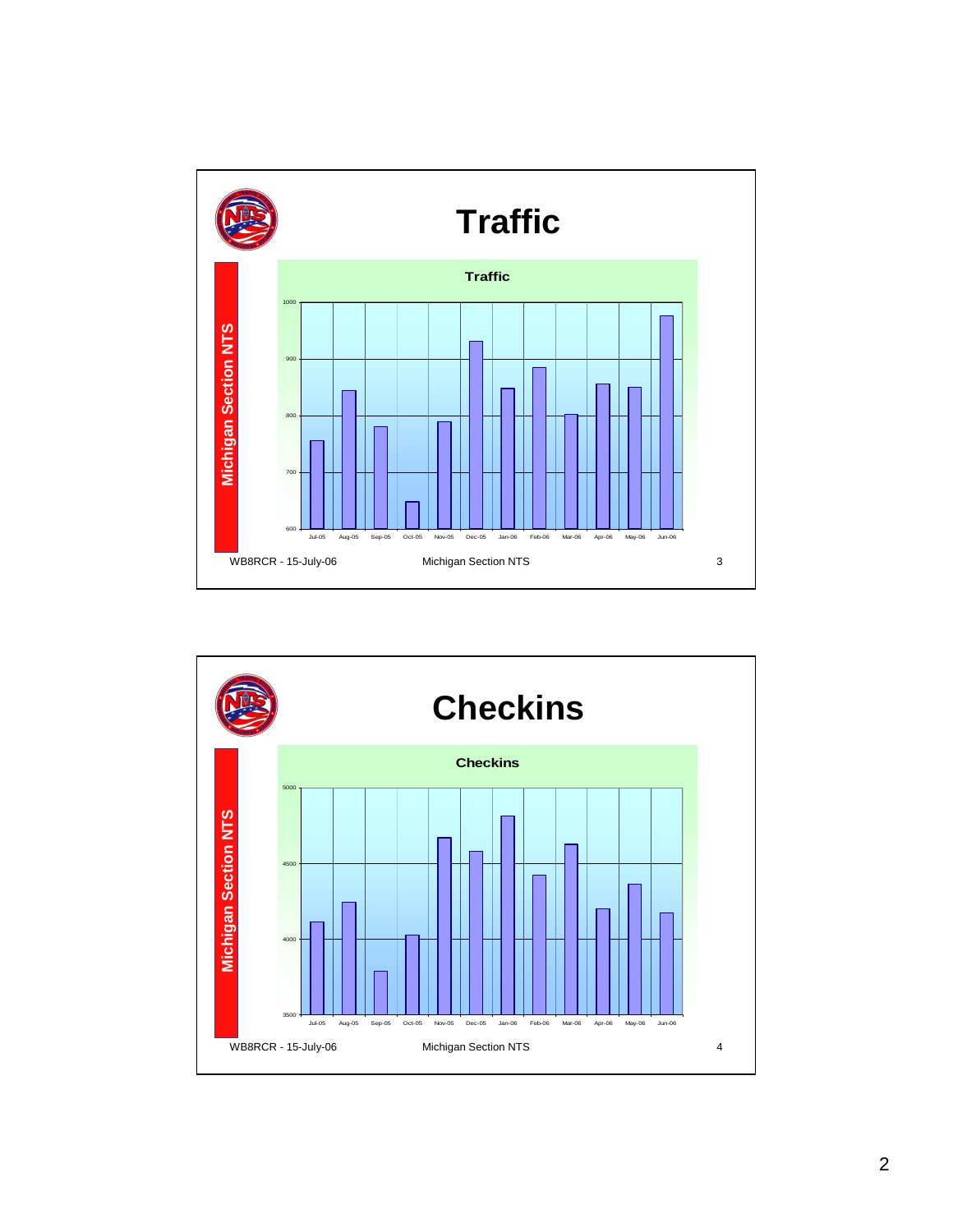

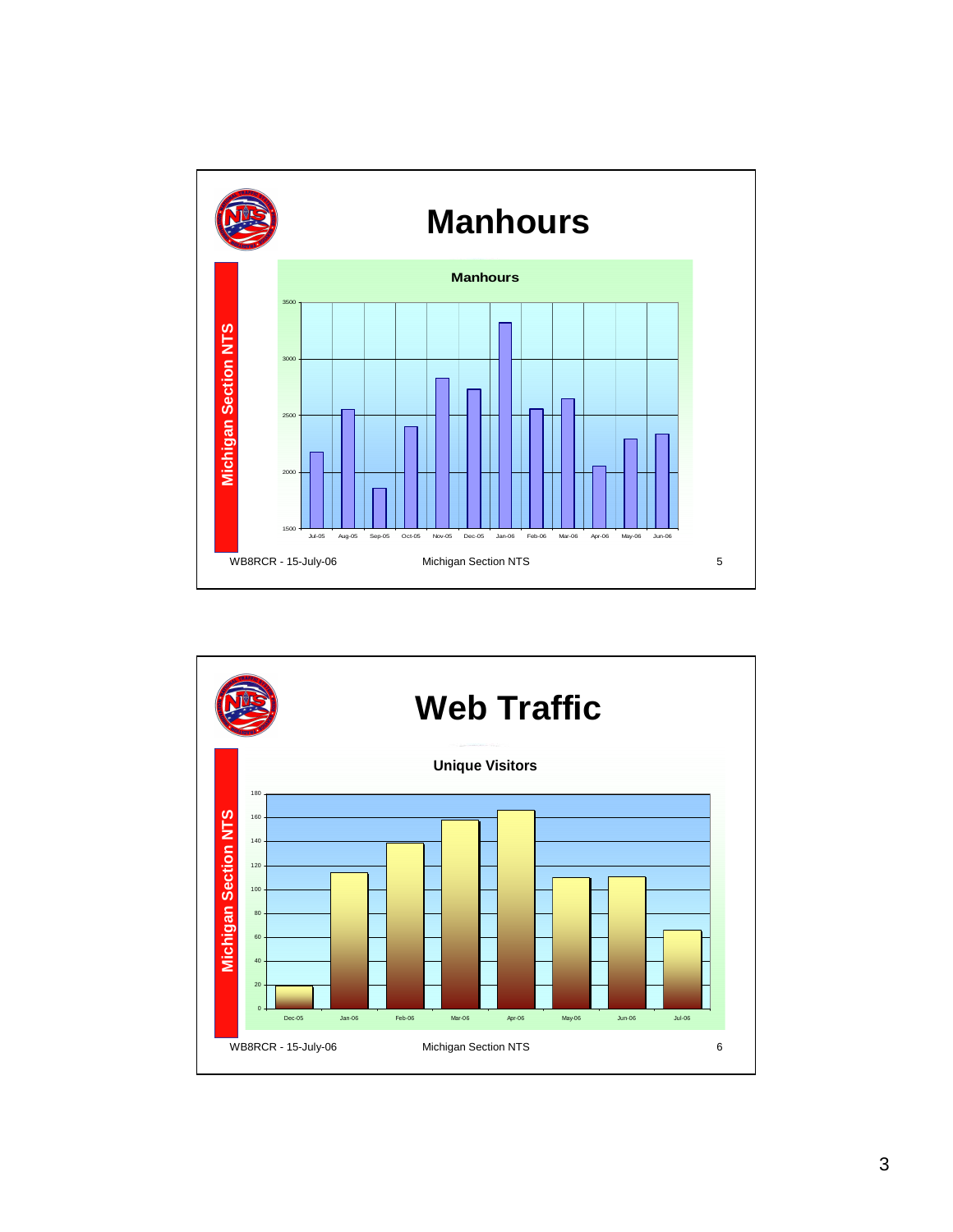

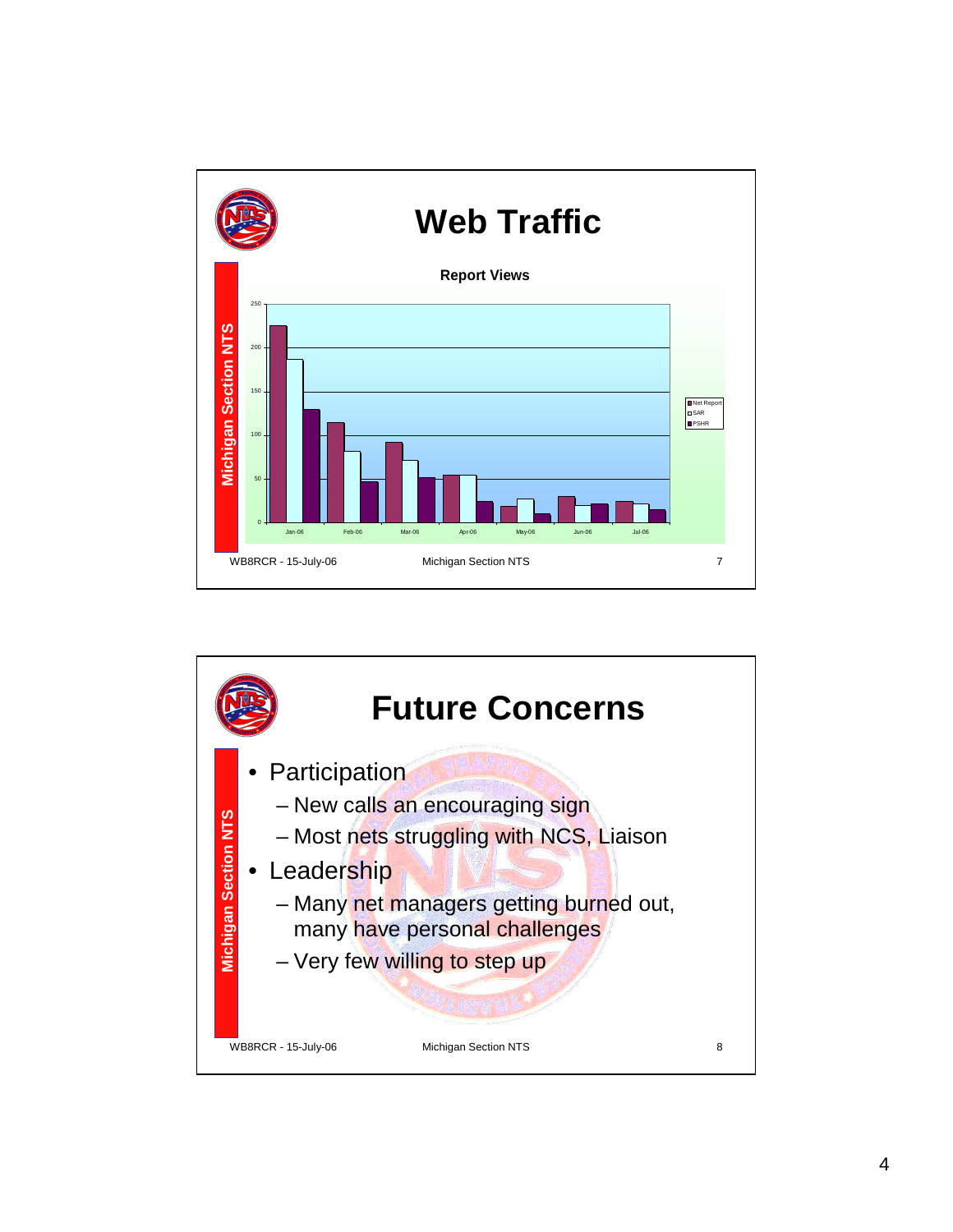